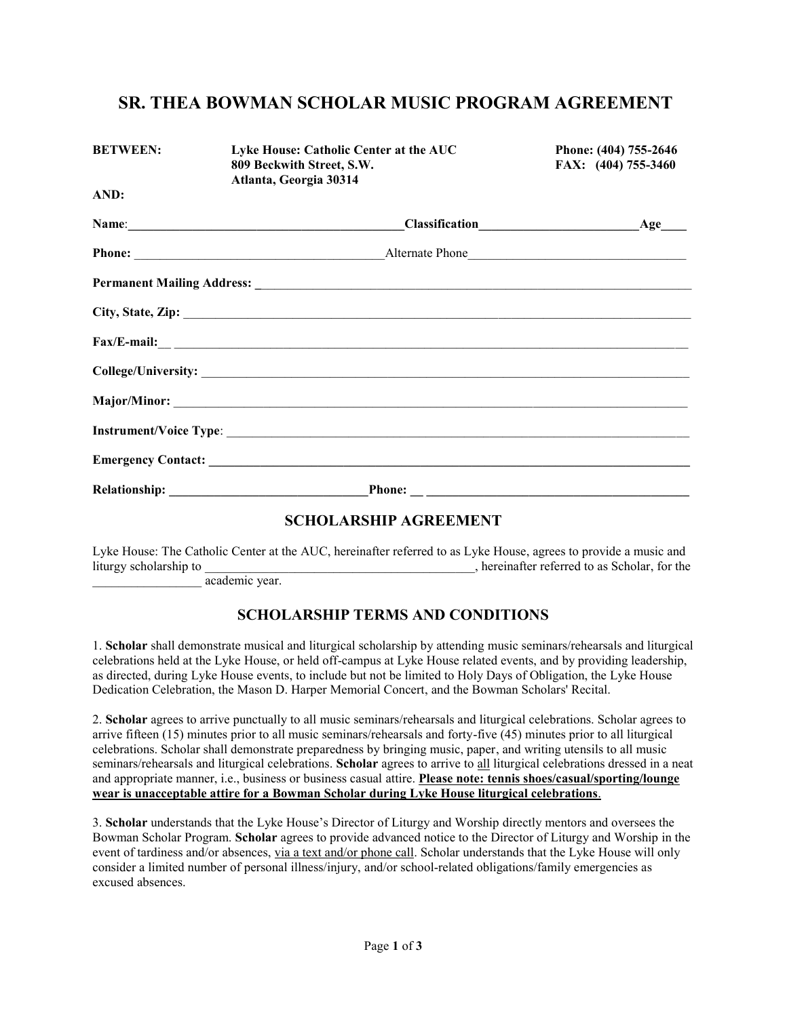## **SR. THEA BOWMAN SCHOLAR MUSIC PROGRAM AGREEMENT**

| <b>BETWEEN:</b> | Lyke House: Catholic Center at the AUC<br>809 Beckwith Street, S.W.<br>Atlanta, Georgia 30314           | Phone: (404) 755-2646<br>FAX: (404) 755-3460 |
|-----------------|---------------------------------------------------------------------------------------------------------|----------------------------------------------|
| AND:            |                                                                                                         |                                              |
|                 |                                                                                                         |                                              |
|                 |                                                                                                         |                                              |
|                 |                                                                                                         |                                              |
|                 |                                                                                                         |                                              |
|                 | $\text{Fax/E-mail:}\n \underline{\hspace{2cm}}\n \underline{\hspace{2cm}}\n \underline{\hspace{2cm}}\n$ |                                              |
|                 |                                                                                                         |                                              |
|                 |                                                                                                         |                                              |
|                 |                                                                                                         |                                              |
|                 |                                                                                                         |                                              |
|                 |                                                                                                         |                                              |
|                 |                                                                                                         |                                              |

#### **SCHOLARSHIP AGREEMENT**

Lyke House: The Catholic Center at the AUC, hereinafter referred to as Lyke House, agrees to provide a music and liturgy scholarship to \_\_\_\_\_\_\_\_\_\_\_\_\_\_\_\_\_\_\_\_\_\_\_\_\_\_\_\_\_\_\_\_, hereinafter referred to as Scholar, for the

\_\_\_\_\_\_\_\_\_\_\_\_\_\_\_\_\_ academic year.

### **SCHOLARSHIP TERMS AND CONDITIONS**

1. **Scholar** shall demonstrate musical and liturgical scholarship by attending music seminars/rehearsals and liturgical celebrations held at the Lyke House, or held off-campus at Lyke House related events, and by providing leadership, as directed, during Lyke House events, to include but not be limited to Holy Days of Obligation, the Lyke House Dedication Celebration, the Mason D. Harper Memorial Concert, and the Bowman Scholars' Recital.

2. **Scholar** agrees to arrive punctually to all music seminars/rehearsals and liturgical celebrations. Scholar agrees to arrive fifteen (15) minutes prior to all music seminars/rehearsals and forty-five (45) minutes prior to all liturgical celebrations. Scholar shall demonstrate preparedness by bringing music, paper, and writing utensils to all music seminars/rehearsals and liturgical celebrations. **Scholar** agrees to arrive to all liturgical celebrations dressed in a neat and appropriate manner, i.e., business or business casual attire. **Please note: tennis shoes/casual/sporting/lounge wear is unacceptable attire for a Bowman Scholar during Lyke House liturgical celebrations**.

3. **Scholar** understands that the Lyke House's Director of Liturgy and Worship directly mentors and oversees the Bowman Scholar Program. **Scholar** agrees to provide advanced notice to the Director of Liturgy and Worship in the event of tardiness and/or absences, via a text and/or phone call. Scholar understands that the Lyke House will only consider a limited number of personal illness/injury, and/or school-related obligations/family emergencies as excused absences.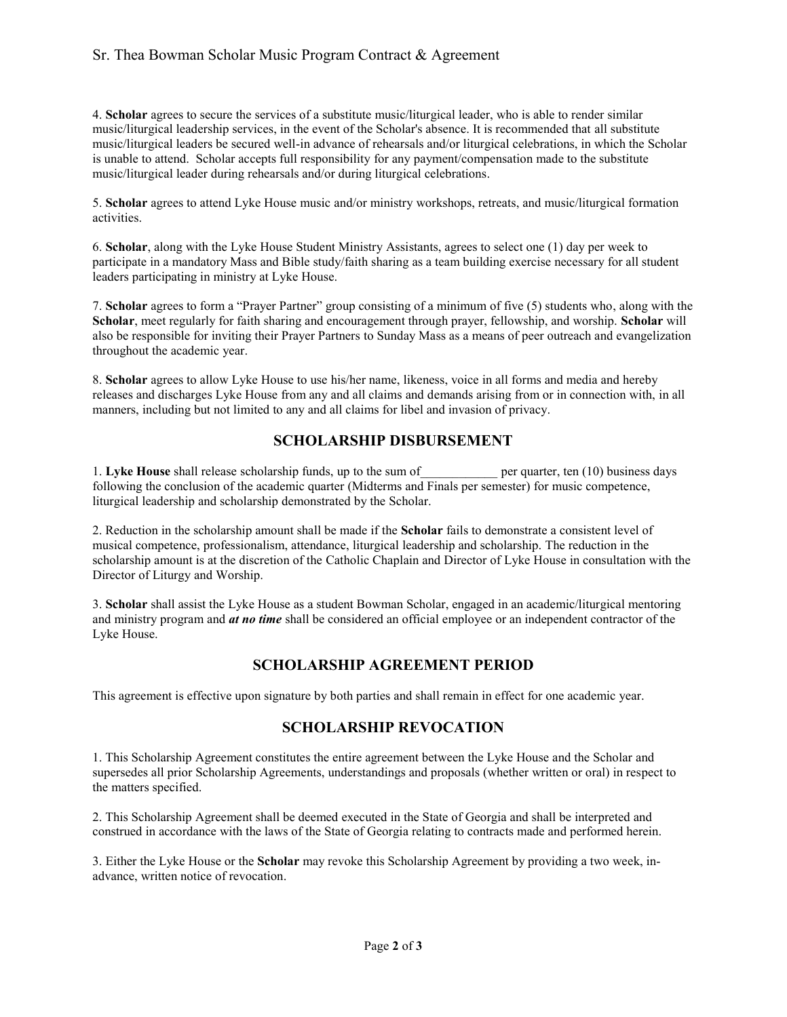### Sr. Thea Bowman Scholar Music Program Contract & Agreement

4. **Scholar** agrees to secure the services of a substitute music/liturgical leader, who is able to render similar music/liturgical leadership services, in the event of the Scholar's absence. It is recommended that all substitute music/liturgical leaders be secured well-in advance of rehearsals and/or liturgical celebrations, in which the Scholar is unable to attend. Scholar accepts full responsibility for any payment/compensation made to the substitute music/liturgical leader during rehearsals and/or during liturgical celebrations.

5. **Scholar** agrees to attend Lyke House music and/or ministry workshops, retreats, and music/liturgical formation activities.

6. **Scholar**, along with the Lyke House Student Ministry Assistants, agrees to select one (1) day per week to participate in a mandatory Mass and Bible study/faith sharing as a team building exercise necessary for all student leaders participating in ministry at Lyke House.

7. **Scholar** agrees to form a "Prayer Partner" group consisting of a minimum of five (5) students who, along with the **Scholar**, meet regularly for faith sharing and encouragement through prayer, fellowship, and worship. **Scholar** will also be responsible for inviting their Prayer Partners to Sunday Mass as a means of peer outreach and evangelization throughout the academic year.

8. **Scholar** agrees to allow Lyke House to use his/her name, likeness, voice in all forms and media and hereby releases and discharges Lyke House from any and all claims and demands arising from or in connection with, in all manners, including but not limited to any and all claims for libel and invasion of privacy.

## **SCHOLARSHIP DISBURSEMENT**

1. Lyke House shall release scholarship funds, up to the sum of\_\_\_\_\_\_\_\_\_\_\_\_ per quarter, ten (10) business days following the conclusion of the academic quarter (Midterms and Finals per semester) for music competence, liturgical leadership and scholarship demonstrated by the Scholar.

2. Reduction in the scholarship amount shall be made if the **Scholar** fails to demonstrate a consistent level of musical competence, professionalism, attendance, liturgical leadership and scholarship. The reduction in the scholarship amount is at the discretion of the Catholic Chaplain and Director of Lyke House in consultation with the Director of Liturgy and Worship.

3. **Scholar** shall assist the Lyke House as a student Bowman Scholar, engaged in an academic/liturgical mentoring and ministry program and *at no time* shall be considered an official employee or an independent contractor of the Lyke House.

## **SCHOLARSHIP AGREEMENT PERIOD**

This agreement is effective upon signature by both parties and shall remain in effect for one academic year.

### **SCHOLARSHIP REVOCATION**

1. This Scholarship Agreement constitutes the entire agreement between the Lyke House and the Scholar and supersedes all prior Scholarship Agreements, understandings and proposals (whether written or oral) in respect to the matters specified.

2. This Scholarship Agreement shall be deemed executed in the State of Georgia and shall be interpreted and construed in accordance with the laws of the State of Georgia relating to contracts made and performed herein.

3. Either the Lyke House or the **Scholar** may revoke this Scholarship Agreement by providing a two week, inadvance, written notice of revocation.